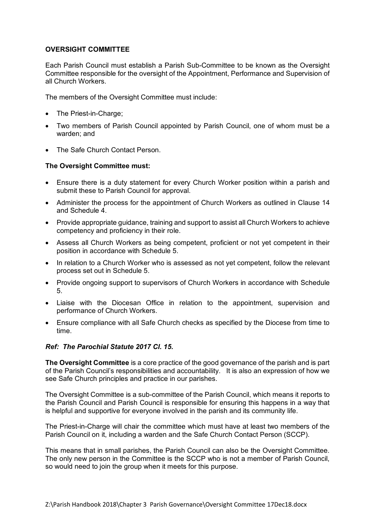## **OVERSIGHT COMMITTEE**

Each Parish Council must establish a Parish Sub-Committee to be known as the Oversight Committee responsible for the oversight of the Appointment, Performance and Supervision of all Church Workers.

The members of the Oversight Committee must include:

- The Priest-in-Charge;
- Two members of Parish Council appointed by Parish Council, one of whom must be a warden; and
- The Safe Church Contact Person.

## **The Oversight Committee must:**

- Ensure there is a duty statement for every Church Worker position within a parish and submit these to Parish Council for approval.
- Administer the process for the appointment of Church Workers as outlined in Clause 14 and Schedule 4.
- Provide appropriate guidance, training and support to assist all Church Workers to achieve competency and proficiency in their role.
- Assess all Church Workers as being competent, proficient or not yet competent in their position in accordance with Schedule 5.
- In relation to a Church Worker who is assessed as not yet competent, follow the relevant process set out in Schedule 5.
- Provide ongoing support to supervisors of Church Workers in accordance with Schedule 5.
- Liaise with the Diocesan Office in relation to the appointment, supervision and performance of Church Workers.
- Ensure compliance with all Safe Church checks as specified by the Diocese from time to time.

## *Ref: The Parochial Statute 2017 Cl. 15.*

**The Oversight Committee** is a core practice of the good governance of the parish and is part of the Parish Council's responsibilities and accountability. It is also an expression of how we see Safe Church principles and practice in our parishes.

The Oversight Committee is a sub-committee of the Parish Council, which means it reports to the Parish Council and Parish Council is responsible for ensuring this happens in a way that is helpful and supportive for everyone involved in the parish and its community life.

The Priest-in-Charge will chair the committee which must have at least two members of the Parish Council on it, including a warden and the Safe Church Contact Person (SCCP).

This means that in small parishes, the Parish Council can also be the Oversight Committee. The only new person in the Committee is the SCCP who is not a member of Parish Council, so would need to join the group when it meets for this purpose.